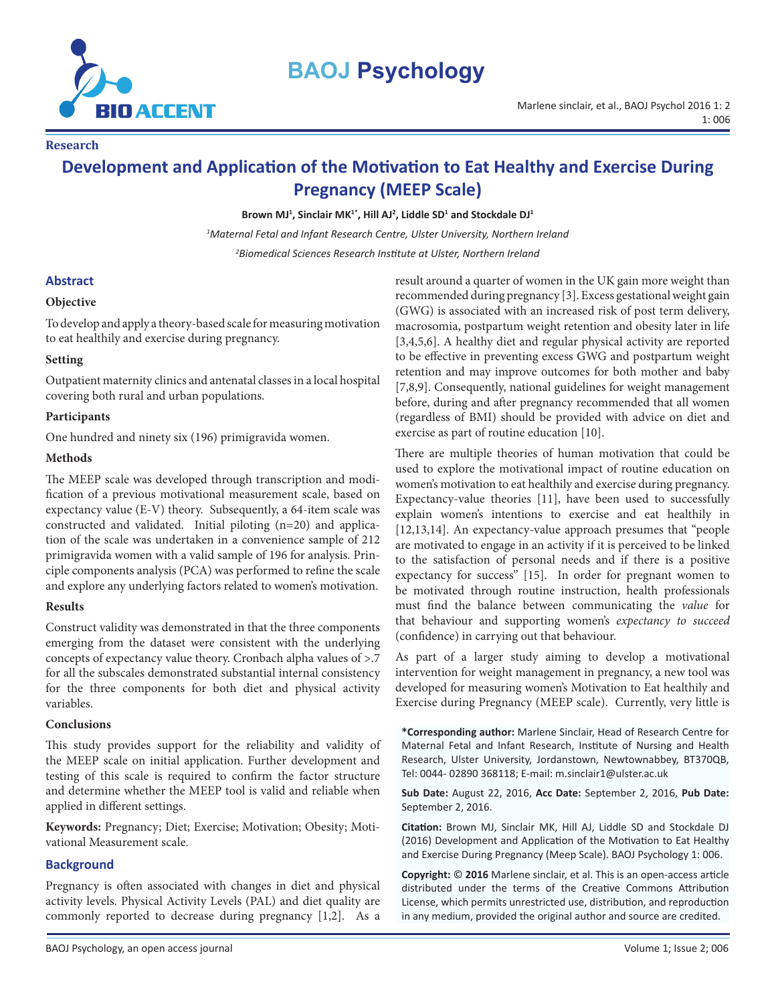

# **BAOJ Psychology**

**Research**

# **Development and Application of the Motivation to Eat Healthy and Exercise During Pregnancy (MEEP Scale)**

**Brown MJ<sup>1</sup> , Sinclair MK1\*, Hill AJ<sup>2</sup> , Liddle SD<sup>1</sup> and Stockdale DJ<sup>1</sup>**

*1 Maternal Fetal and Infant Research Centre, Ulster University, Northern Ireland 2 Biomedical Sciences Research Institute at Ulster, Northern Ireland*

#### **Abstract**

#### **Objective**

To develop and apply a theory-based scale for measuring motivation to eat healthily and exercise during pregnancy.

#### **Setting**

Outpatient maternity clinics and antenatal classes in a local hospital covering both rural and urban populations.

#### **Participants**

One hundred and ninety six (196) primigravida women.

#### **Methods**

The MEEP scale was developed through transcription and modification of a previous motivational measurement scale, based on expectancy value (E-V) theory. Subsequently, a 64-item scale was constructed and validated. Initial piloting (n=20) and application of the scale was undertaken in a convenience sample of 212 primigravida women with a valid sample of 196 for analysis. Principle components analysis (PCA) was performed to refine the scale and explore any underlying factors related to women's motivation.

#### **Results**

Construct validity was demonstrated in that the three components emerging from the dataset were consistent with the underlying concepts of expectancy value theory. Cronbach alpha values of >.7 for all the subscales demonstrated substantial internal consistency for the three components for both diet and physical activity variables.

#### **Conclusions**

This study provides support for the reliability and validity of the MEEP scale on initial application. Further development and testing of this scale is required to confirm the factor structure and determine whether the MEEP tool is valid and reliable when applied in different settings.

**Keywords:** Pregnancy; Diet; Exercise; Motivation; Obesity; Motivational Measurement scale.

# **Background**

Pregnancy is often associated with changes in diet and physical activity levels. Physical Activity Levels (PAL) and diet quality are commonly reported to decrease during pregnancy [1,2]. As a result around a quarter of women in the UK gain more weight than recommended during pregnancy [3]. Excess gestational weight gain (GWG) is associated with an increased risk of post term delivery, macrosomia, postpartum weight retention and obesity later in life [3,4,5,6]. A healthy diet and regular physical activity are reported to be effective in preventing excess GWG and postpartum weight retention and may improve outcomes for both mother and baby [7,8,9]. Consequently, national guidelines for weight management before, during and after pregnancy recommended that all women (regardless of BMI) should be provided with advice on diet and exercise as part of routine education [10].

There are multiple theories of human motivation that could be used to explore the motivational impact of routine education on women's motivation to eat healthily and exercise during pregnancy. Expectancy-value theories [11], have been used to successfully explain women's intentions to exercise and eat healthily in [12,13,14]. An expectancy-value approach presumes that "people are motivated to engage in an activity if it is perceived to be linked to the satisfaction of personal needs and if there is a positive expectancy for success" [15]. In order for pregnant women to be motivated through routine instruction, health professionals must find the balance between communicating the *value* for that behaviour and supporting women's *expectancy to succeed* (confidence) in carrying out that behaviour.

As part of a larger study aiming to develop a motivational intervention for weight management in pregnancy, a new tool was developed for measuring women's Motivation to Eat healthily and Exercise during Pregnancy (MEEP scale). Currently, very little is

**\*Corresponding author:** Marlene Sinclair, Head of Research Centre for Maternal Fetal and Infant Research, Institute of Nursing and Health Research, Ulster University, Jordanstown, Newtownabbey, BT370QB, Tel: 0044- 02890 368118; E-mail: [m.sinclair1@ulster.ac.u](mailto:m.sinclair1@ulster.ac.uk)k

**Sub Date:** August 22, 2016, **Acc Date:** September 2, 2016, **Pub Date:** September 2, 2016.

**Citation:** Brown MJ, Sinclair MK, Hill AJ, Liddle SD and Stockdale DJ (2016) Development and Application of the Motivation to Eat Healthy and Exercise During Pregnancy (Meep Scale). BAOJ Psychology 1: 006.

**Copyright:** © **2016** Marlene sinclair, et al. This is an open-access article distributed under the terms of the Creative Commons Attribution License, which permits unrestricted use, distribution, and reproduction in any medium, provided the original author and source are credited.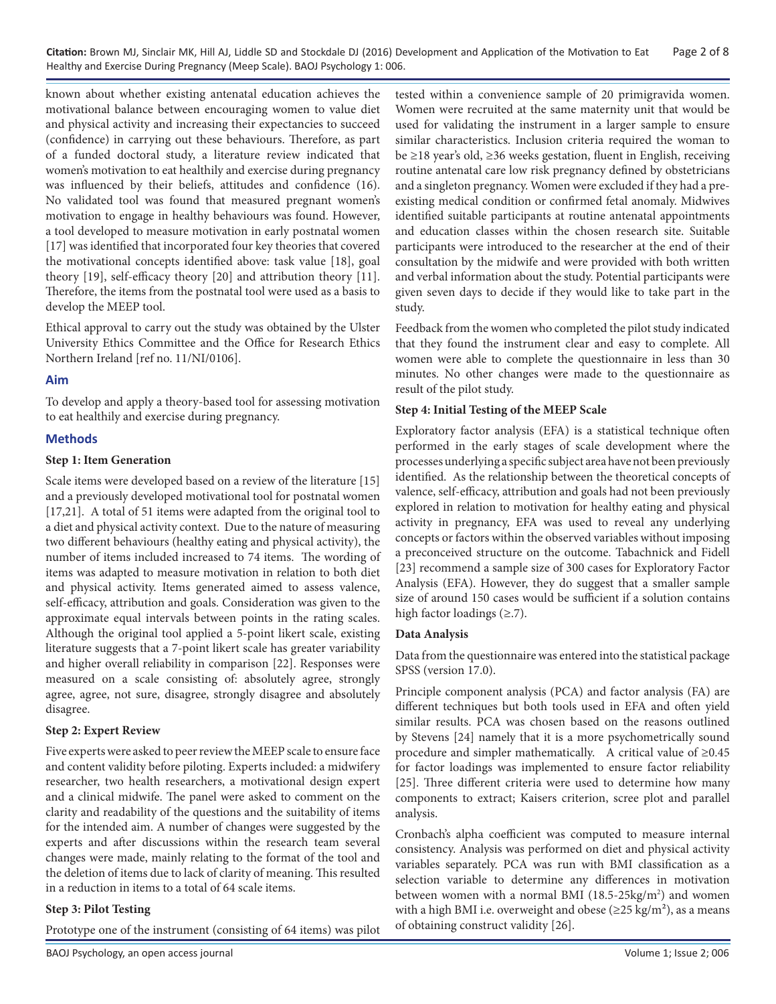**Citation:** Brown MJ, Sinclair MK, Hill AJ, Liddle SD and Stockdale DJ (2016) Development and Application of the Motivation to Eat Page 2 of 8 Healthy and Exercise During Pregnancy (Meep Scale). BAOJ Psychology 1: 006.

known about whether existing antenatal education achieves the motivational balance between encouraging women to value diet and physical activity and increasing their expectancies to succeed (confidence) in carrying out these behaviours. Therefore, as part of a funded doctoral study, a literature review indicated that women's motivation to eat healthily and exercise during pregnancy was influenced by their beliefs, attitudes and confidence (16). No validated tool was found that measured pregnant women's motivation to engage in healthy behaviours was found. However, a tool developed to measure motivation in early postnatal women [17] was identified that incorporated four key theories that covered the motivational concepts identified above: task value [18], goal theory [19], self-efficacy theory [20] and attribution theory [11]. Therefore, the items from the postnatal tool were used as a basis to develop the MEEP tool.

Ethical approval to carry out the study was obtained by the Ulster University Ethics Committee and the Office for Research Ethics Northern Ireland [ref no. 11/NI/0106].

#### **Aim**

To develop and apply a theory-based tool for assessing motivation to eat healthily and exercise during pregnancy.

#### **Methods**

#### **Step 1: Item Generation**

Scale items were developed based on a review of the literature [15] and a previously developed motivational tool for postnatal women [17,21]. A total of 51 items were adapted from the original tool to a diet and physical activity context. Due to the nature of measuring two different behaviours (healthy eating and physical activity), the number of items included increased to 74 items. The wording of items was adapted to measure motivation in relation to both diet and physical activity. Items generated aimed to assess valence, self-efficacy, attribution and goals. Consideration was given to the approximate equal intervals between points in the rating scales. Although the original tool applied a 5-point likert scale, existing literature suggests that a 7-point likert scale has greater variability and higher overall reliability in comparison [22]. Responses were measured on a scale consisting of: absolutely agree, strongly agree, agree, not sure, disagree, strongly disagree and absolutely disagree.

#### **Step 2: Expert Review**

Five experts were asked to peer review the MEEP scale to ensure face and content validity before piloting. Experts included: a midwifery researcher, two health researchers, a motivational design expert and a clinical midwife. The panel were asked to comment on the clarity and readability of the questions and the suitability of items for the intended aim. A number of changes were suggested by the experts and after discussions within the research team several changes were made, mainly relating to the format of the tool and the deletion of items due to lack of clarity of meaning. This resulted in a reduction in items to a total of 64 scale items.

#### **Step 3: Pilot Testing**

Prototype one of the instrument (consisting of 64 items) was pilot

tested within a convenience sample of 20 primigravida women. Women were recruited at the same maternity unit that would be used for validating the instrument in a larger sample to ensure similar characteristics. Inclusion criteria required the woman to be ≥18 year's old, ≥36 weeks gestation, fluent in English, receiving routine antenatal care low risk pregnancy defined by obstetricians and a singleton pregnancy. Women were excluded if they had a preexisting medical condition or confirmed fetal anomaly. Midwives identified suitable participants at routine antenatal appointments and education classes within the chosen research site. Suitable participants were introduced to the researcher at the end of their consultation by the midwife and were provided with both written and verbal information about the study. Potential participants were given seven days to decide if they would like to take part in the study.

Feedback from the women who completed the pilot study indicated that they found the instrument clear and easy to complete. All women were able to complete the questionnaire in less than 30 minutes. No other changes were made to the questionnaire as result of the pilot study.

#### **Step 4: Initial Testing of the MEEP Scale**

Exploratory factor analysis (EFA) is a statistical technique often performed in the early stages of scale development where the processes underlying a specific subject area have not been previously identified. As the relationship between the theoretical concepts of valence, self-efficacy, attribution and goals had not been previously explored in relation to motivation for healthy eating and physical activity in pregnancy, EFA was used to reveal any underlying concepts or factors within the observed variables without imposing a preconceived structure on the outcome. Tabachnick and Fidell [23] recommend a sample size of 300 cases for Exploratory Factor Analysis (EFA). However, they do suggest that a smaller sample size of around 150 cases would be sufficient if a solution contains high factor loadings (≥.7).

#### **Data Analysis**

Data from the questionnaire was entered into the statistical package SPSS (version 17.0).

Principle component analysis (PCA) and factor analysis (FA) are different techniques but both tools used in EFA and often yield similar results. PCA was chosen based on the reasons outlined by Stevens [24] namely that it is a more psychometrically sound procedure and simpler mathematically. A critical value of ≥0.45 for factor loadings was implemented to ensure factor reliability [25]. Three different criteria were used to determine how many components to extract; Kaisers criterion, scree plot and parallel analysis.

Cronbach's alpha coefficient was computed to measure internal consistency. Analysis was performed on diet and physical activity variables separately. PCA was run with BMI classification as a selection variable to determine any differences in motivation between women with a normal BMI (18.5-25kg/m<sup>2</sup>) and women with a high BMI i.e. overweight and obese ( $\geq$ 25 kg/m<sup>2</sup>), as a means of obtaining construct validity [26].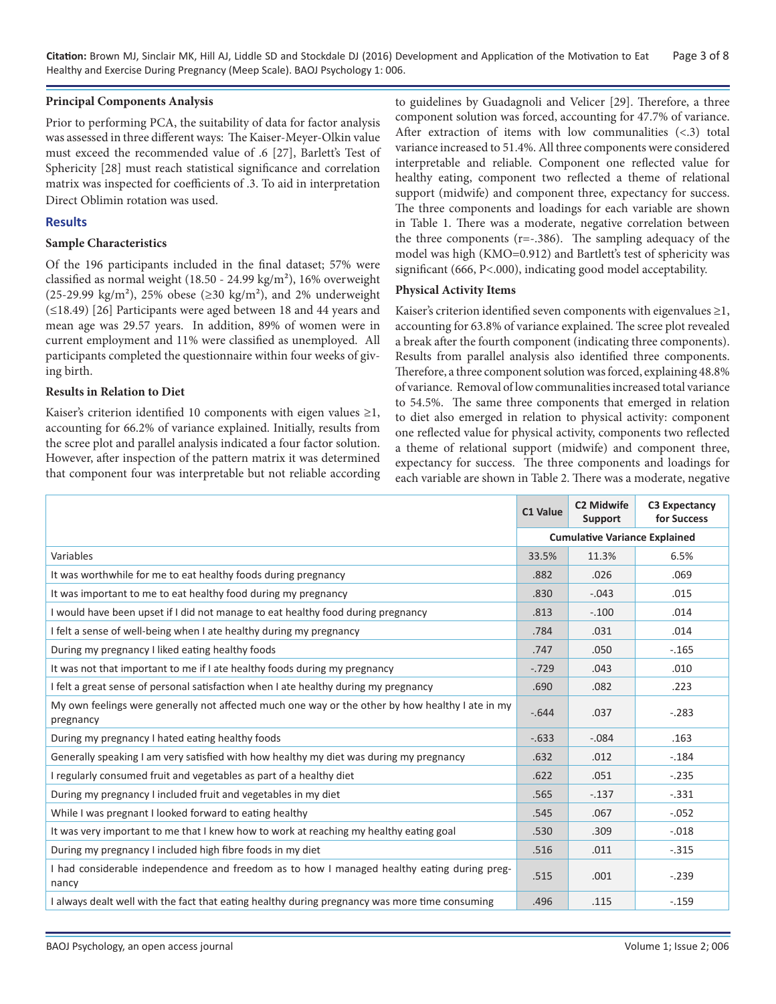**Citation:** Brown MJ, Sinclair MK, Hill AJ, Liddle SD and Stockdale DJ (2016) Development and Application of the Motivation to Eat Page 3 of 8 Healthy and Exercise During Pregnancy (Meep Scale). BAOJ Psychology 1: 006.

#### **Principal Components Analysis**

Prior to performing PCA, the suitability of data for factor analysis was assessed in three different ways: The Kaiser-Meyer-Olkin value must exceed the recommended value of .6 [27], Barlett's Test of Sphericity [28] must reach statistical significance and correlation matrix was inspected for coefficients of .3. To aid in interpretation Direct Oblimin rotation was used.

# **Results**

#### **Sample Characteristics**

Of the 196 participants included in the final dataset; 57% were classified as normal weight (18.50 - 24.99 kg/m²), 16% overweight  $(25-29.99 \text{ kg/m}^2)$ , 25% obese ( $\geq 30 \text{ kg/m}^2$ ), and 2% underweight (≤18.49) [26] Participants were aged between 18 and 44 years and mean age was 29.57 years. In addition, 89% of women were in current employment and 11% were classified as unemployed. All participants completed the questionnaire within four weeks of giving birth.

#### **Results in Relation to Diet**

Kaiser's criterion identified 10 components with eigen values  $\geq 1$ , accounting for 66.2% of variance explained. Initially, results from the scree plot and parallel analysis indicated a four factor solution. However, after inspection of the pattern matrix it was determined that component four was interpretable but not reliable according to guidelines by Guadagnoli and Velicer [29]. Therefore, a three component solution was forced, accounting for 47.7% of variance. After extraction of items with low communalities (<.3) total variance increased to 51.4%. All three components were considered interpretable and reliable. Component one reflected value for healthy eating, component two reflected a theme of relational support (midwife) and component three, expectancy for success. The three components and loadings for each variable are shown in Table 1. There was a moderate, negative correlation between the three components ( $r=-.386$ ). The sampling adequacy of the model was high (KMO=0.912) and Bartlett's test of sphericity was significant (666, P<.000), indicating good model acceptability.

# **Physical Activity Items**

Kaiser's criterion identified seven components with eigenvalues  $\geq 1$ , accounting for 63.8% of variance explained. The scree plot revealed a break after the fourth component (indicating three components). Results from parallel analysis also identified three components. Therefore, a three component solution was forced, explaining 48.8% of variance. Removal of low communalities increased total variance to 54.5%. The same three components that emerged in relation to diet also emerged in relation to physical activity: component one reflected value for physical activity, components two reflected a theme of relational support (midwife) and component three, expectancy for success. The three components and loadings for each variable are shown in Table 2. There was a moderate, negative

|                                                                                                               | C1 Value                             | <b>C2 Midwife</b><br>Support | <b>C3 Expectancy</b><br>for Success |
|---------------------------------------------------------------------------------------------------------------|--------------------------------------|------------------------------|-------------------------------------|
|                                                                                                               | <b>Cumulative Variance Explained</b> |                              |                                     |
| Variables                                                                                                     | 33.5%                                | 11.3%                        | 6.5%                                |
| It was worthwhile for me to eat healthy foods during pregnancy                                                | .882                                 | .026                         | .069                                |
| It was important to me to eat healthy food during my pregnancy                                                | .830                                 | $-.043$                      | .015                                |
| I would have been upset if I did not manage to eat healthy food during pregnancy                              | .813                                 | $-.100$                      | .014                                |
| I felt a sense of well-being when I ate healthy during my pregnancy                                           | .784                                 | .031                         | .014                                |
| During my pregnancy I liked eating healthy foods                                                              | .747                                 | .050                         | $-0.165$                            |
| It was not that important to me if I ate healthy foods during my pregnancy                                    | $-.729$                              | .043                         | .010                                |
| I felt a great sense of personal satisfaction when I ate healthy during my pregnancy                          | .690                                 | .082                         | .223                                |
| My own feelings were generally not affected much one way or the other by how healthy I ate in my<br>pregnancy |                                      | .037                         | $-.283$                             |
| During my pregnancy I hated eating healthy foods                                                              | $-.633$                              | $-.084$                      | .163                                |
| Generally speaking I am very satisfied with how healthy my diet was during my pregnancy                       | .632                                 | .012                         | $-.184$                             |
| I regularly consumed fruit and vegetables as part of a healthy diet                                           | .622                                 | .051                         | $-.235$                             |
| During my pregnancy I included fruit and vegetables in my diet                                                | .565                                 | $-.137$                      | $-.331$                             |
| While I was pregnant I looked forward to eating healthy                                                       | .545                                 | .067                         | $-.052$                             |
| It was very important to me that I knew how to work at reaching my healthy eating goal                        | .530                                 | .309                         | $-.018$                             |
| During my pregnancy I included high fibre foods in my diet                                                    | .516                                 | .011                         | $-.315$                             |
| I had considerable independence and freedom as to how I managed healthy eating during preg-<br>nancy          | .515                                 | .001                         | $-.239$                             |
| I always dealt well with the fact that eating healthy during pregnancy was more time consuming                | .496                                 | .115                         | $-0.159$                            |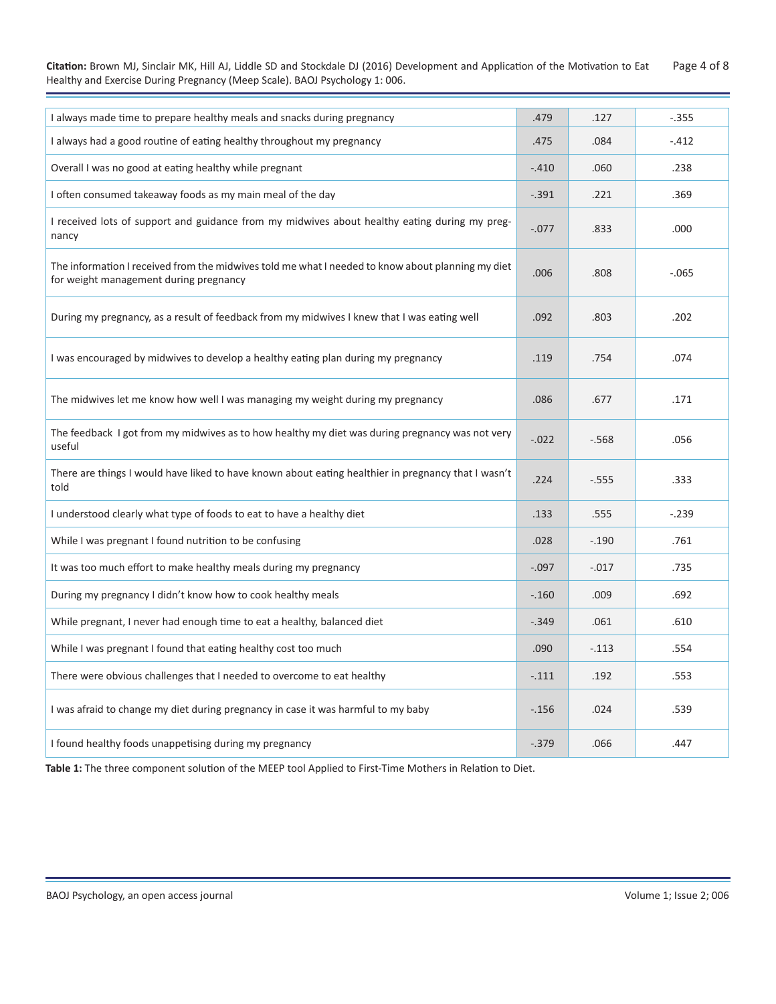**Citation:** Brown MJ, Sinclair MK, Hill AJ, Liddle SD and Stockdale DJ (2016) Development and Application of the Motivation to Eat Page 4 of 8 Healthy and Exercise During Pregnancy (Meep Scale). BAOJ Psychology 1: 006.

| I always made time to prepare healthy meals and snacks during pregnancy                                                                     |      | .127    | $-.355$ |
|---------------------------------------------------------------------------------------------------------------------------------------------|------|---------|---------|
| I always had a good routine of eating healthy throughout my pregnancy                                                                       |      | .084    | $-.412$ |
| Overall I was no good at eating healthy while pregnant                                                                                      |      | .060    | .238    |
| I often consumed takeaway foods as my main meal of the day                                                                                  |      | .221    | .369    |
| I received lots of support and guidance from my midwives about healthy eating during my preg-<br>nancy                                      |      | .833    | .000    |
| The information I received from the midwives told me what I needed to know about planning my diet<br>for weight management during pregnancy |      | .808    | $-.065$ |
| During my pregnancy, as a result of feedback from my midwives I knew that I was eating well                                                 | .092 | .803    | .202    |
| I was encouraged by midwives to develop a healthy eating plan during my pregnancy                                                           |      | .754    | .074    |
| The midwives let me know how well I was managing my weight during my pregnancy                                                              | .086 | .677    | .171    |
| The feedback I got from my midwives as to how healthy my diet was during pregnancy was not very<br>useful                                   |      | $-.568$ | .056    |
| There are things I would have liked to have known about eating healthier in pregnancy that I wasn't<br>told                                 |      | $-.555$ | .333    |
| I understood clearly what type of foods to eat to have a healthy diet                                                                       |      | .555    | $-.239$ |
| While I was pregnant I found nutrition to be confusing                                                                                      |      | $-.190$ | .761    |
| It was too much effort to make healthy meals during my pregnancy                                                                            |      | $-.017$ | .735    |
| During my pregnancy I didn't know how to cook healthy meals                                                                                 |      | .009    | .692    |
| While pregnant, I never had enough time to eat a healthy, balanced diet                                                                     |      | .061    | .610    |
| While I was pregnant I found that eating healthy cost too much                                                                              |      | $-.113$ | .554    |
| There were obvious challenges that I needed to overcome to eat healthy                                                                      |      | .192    | .553    |
| I was afraid to change my diet during pregnancy in case it was harmful to my baby                                                           |      | .024    | .539    |
| I found healthy foods unappetising during my pregnancy                                                                                      |      | .066    | .447    |

**Table 1:** The three component solution of the MEEP tool Applied to First-Time Mothers in Relation to Diet.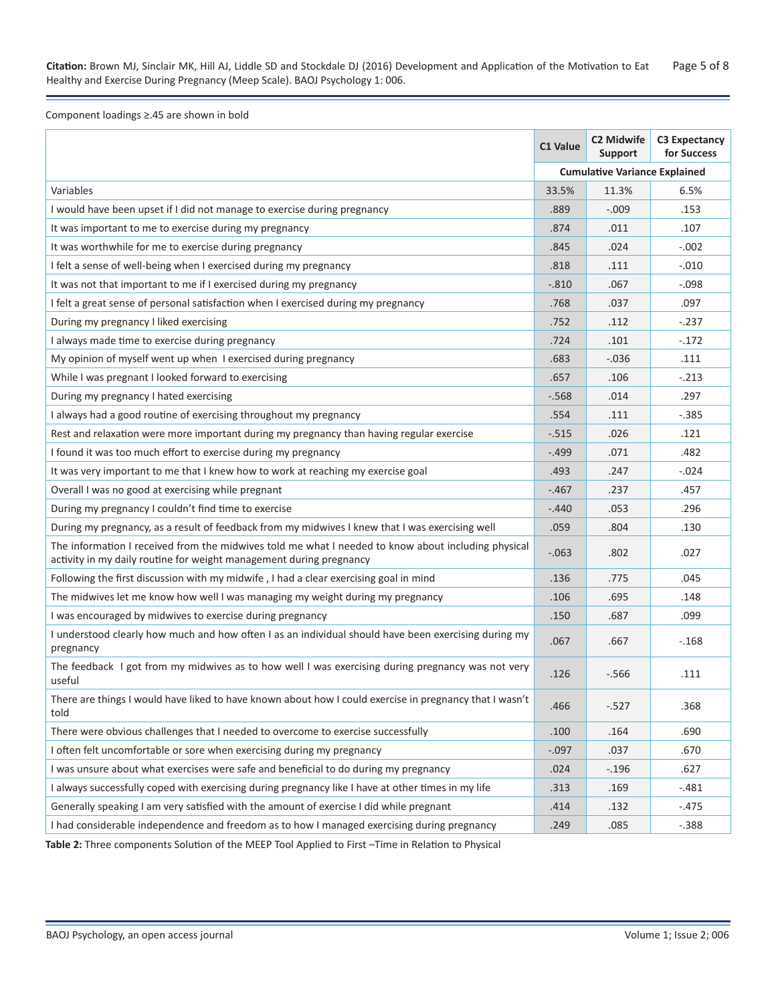**Citation:** Brown MJ, Sinclair MK, Hill AJ, Liddle SD and Stockdale DJ (2016) Development and Application of the Motivation to Eat Page 5 of 8 Healthy and Exercise During Pregnancy (Meep Scale). BAOJ Psychology 1: 006.

Component loadings ≥.45 are shown in bold

|                                                                                                                                                                            | C1 Value | C2 Midwife<br><b>Support</b>         | <b>C3 Expectancy</b><br>for Success |
|----------------------------------------------------------------------------------------------------------------------------------------------------------------------------|----------|--------------------------------------|-------------------------------------|
|                                                                                                                                                                            |          | <b>Cumulative Variance Explained</b> |                                     |
| Variables                                                                                                                                                                  | 33.5%    | 11.3%                                | 6.5%                                |
| I would have been upset if I did not manage to exercise during pregnancy                                                                                                   | .889     | $-.009$                              | .153                                |
| It was important to me to exercise during my pregnancy                                                                                                                     | .874     | .011                                 | .107                                |
| It was worthwhile for me to exercise during pregnancy                                                                                                                      | .845     | .024                                 | $-.002$                             |
| I felt a sense of well-being when I exercised during my pregnancy                                                                                                          | .818     | .111                                 | $-.010$                             |
| It was not that important to me if I exercised during my pregnancy                                                                                                         | $-.810$  | .067                                 | $-.098$                             |
| I felt a great sense of personal satisfaction when I exercised during my pregnancy                                                                                         | .768     | .037                                 | .097                                |
| During my pregnancy I liked exercising                                                                                                                                     | .752     | .112                                 | $-.237$                             |
| I always made time to exercise during pregnancy                                                                                                                            | .724     | .101                                 | $-.172$                             |
| My opinion of myself went up when I exercised during pregnancy                                                                                                             | .683     | $-.036$                              | .111                                |
| While I was pregnant I looked forward to exercising                                                                                                                        | .657     | .106                                 | $-.213$                             |
| During my pregnancy I hated exercising                                                                                                                                     | $-.568$  | .014                                 | .297                                |
| I always had a good routine of exercising throughout my pregnancy                                                                                                          | .554     | .111                                 | $-.385$                             |
| Rest and relaxation were more important during my pregnancy than having regular exercise                                                                                   | $-.515$  | .026                                 | .121                                |
| I found it was too much effort to exercise during my pregnancy                                                                                                             | $-.499$  | .071                                 | .482                                |
| It was very important to me that I knew how to work at reaching my exercise goal                                                                                           | .493     | .247                                 | $-.024$                             |
| Overall I was no good at exercising while pregnant                                                                                                                         | $-.467$  | .237                                 | .457                                |
| During my pregnancy I couldn't find time to exercise                                                                                                                       | $-.440$  | .053                                 | .296                                |
| During my pregnancy, as a result of feedback from my midwives I knew that I was exercising well                                                                            | .059     | .804                                 | .130                                |
| The information I received from the midwives told me what I needed to know about including physical<br>activity in my daily routine for weight management during pregnancy | $-.063$  | .802                                 | .027                                |
| Following the first discussion with my midwife, I had a clear exercising goal in mind                                                                                      | .136     | .775                                 | .045                                |
| The midwives let me know how well I was managing my weight during my pregnancy                                                                                             | .106     | .695                                 | .148                                |
| I was encouraged by midwives to exercise during pregnancy                                                                                                                  | .150     | .687                                 | .099                                |
| I understood clearly how much and how often I as an individual should have been exercising during my<br>pregnancy                                                          | .067     | .667                                 | $-.168$                             |
| The feedback I got from my midwives as to how well I was exercising during pregnancy was not very<br>useful                                                                | .126     | $-.566$                              | .111                                |
| There are things I would have liked to have known about how I could exercise in pregnancy that I wasn't<br>told                                                            | .466     | $-.527$                              | .368                                |
| There were obvious challenges that I needed to overcome to exercise successfully                                                                                           | .100     | .164                                 | .690                                |
| I often felt uncomfortable or sore when exercising during my pregnancy                                                                                                     | $-.097$  | .037                                 | .670                                |
| I was unsure about what exercises were safe and beneficial to do during my pregnancy                                                                                       | .024     | $-.196$                              | .627                                |
| I always successfully coped with exercising during pregnancy like I have at other times in my life                                                                         | .313     | .169                                 | $-.481$                             |
| Generally speaking I am very satisfied with the amount of exercise I did while pregnant                                                                                    | .414     | .132                                 | $-.475$                             |
| I had considerable independence and freedom as to how I managed exercising during pregnancy                                                                                | .249     | .085                                 | $-.388$                             |

**Table 2:** Three components Solution of the MEEP Tool Applied to First –Time in Relation to Physical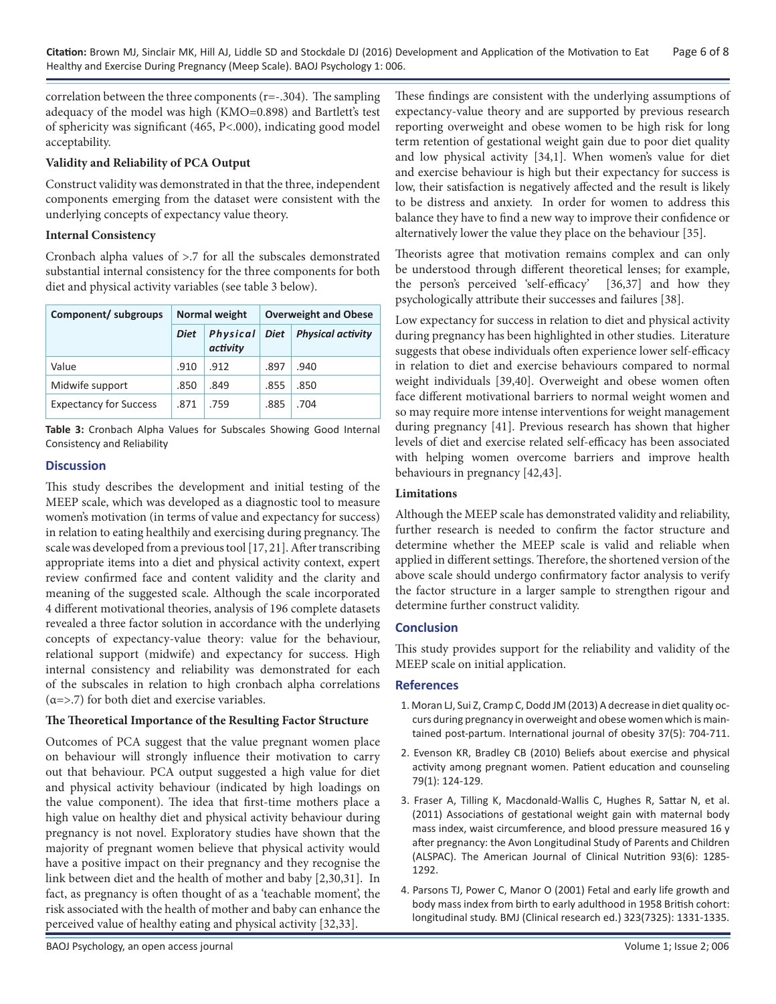correlation between the three components  $(r=-1.304)$ . The sampling adequacy of the model was high (KMO=0.898) and Bartlett's test of sphericity was significant (465, P<.000), indicating good model acceptability.

# **Validity and Reliability of PCA Output**

Construct validity was demonstrated in that the three, independent components emerging from the dataset were consistent with the underlying concepts of expectancy value theory.

# **Internal Consistency**

Cronbach alpha values of >.7 for all the subscales demonstrated substantial internal consistency for the three components for both diet and physical activity variables (see table 3 below).

| Component/ subgroups          | Normal weight |                      | <b>Overweight and Obese</b> |                          |  |
|-------------------------------|---------------|----------------------|-----------------------------|--------------------------|--|
|                               | <b>Diet</b>   | Physical<br>activity | <b>Diet</b>                 | <b>Physical activity</b> |  |
| Value                         | .910          | .912                 | .897                        | .940                     |  |
| Midwife support               | .850          | .849                 | .855                        | .850                     |  |
| <b>Expectancy for Success</b> | .871          | .759                 | .885                        | .704                     |  |

**Table 3:** Cronbach Alpha Values for Subscales Showing Good Internal Consistency and Reliability

# **Discussion**

This study describes the development and initial testing of the MEEP scale, which was developed as a diagnostic tool to measure women's motivation (in terms of value and expectancy for success) in relation to eating healthily and exercising during pregnancy. The scale was developed from a previous tool [17, 21]. After transcribing appropriate items into a diet and physical activity context, expert review confirmed face and content validity and the clarity and meaning of the suggested scale. Although the scale incorporated 4 different motivational theories, analysis of 196 complete datasets revealed a three factor solution in accordance with the underlying concepts of expectancy-value theory: value for the behaviour, relational support (midwife) and expectancy for success. High internal consistency and reliability was demonstrated for each of the subscales in relation to high cronbach alpha correlations  $(a=)>.7$ ) for both diet and exercise variables.

# **The Theoretical Importance of the Resulting Factor Structure**

Outcomes of PCA suggest that the value pregnant women place on behaviour will strongly influence their motivation to carry out that behaviour. PCA output suggested a high value for diet and physical activity behaviour (indicated by high loadings on the value component). The idea that first-time mothers place a high value on healthy diet and physical activity behaviour during pregnancy is not novel. Exploratory studies have shown that the majority of pregnant women believe that physical activity would have a positive impact on their pregnancy and they recognise the link between diet and the health of mother and baby [2,30,31]. In fact, as pregnancy is often thought of as a 'teachable moment', the risk associated with the health of mother and baby can enhance the perceived value of healthy eating and physical activity [32,33].

These findings are consistent with the underlying assumptions of expectancy-value theory and are supported by previous research reporting overweight and obese women to be high risk for long term retention of gestational weight gain due to poor diet quality and low physical activity [34,1]. When women's value for diet and exercise behaviour is high but their expectancy for success is low, their satisfaction is negatively affected and the result is likely to be distress and anxiety. In order for women to address this balance they have to find a new way to improve their confidence or alternatively lower the value they place on the behaviour [35].

Theorists agree that motivation remains complex and can only be understood through different theoretical lenses; for example, the person's perceived 'self-efficacy' [36,37] and how they psychologically attribute their successes and failures [38].

Low expectancy for success in relation to diet and physical activity during pregnancy has been highlighted in other studies. Literature suggests that obese individuals often experience lower self-efficacy in relation to diet and exercise behaviours compared to normal weight individuals [39,40]. Overweight and obese women often face different motivational barriers to normal weight women and so may require more intense interventions for weight management during pregnancy [41]. Previous research has shown that higher levels of diet and exercise related self-efficacy has been associated with helping women overcome barriers and improve health behaviours in pregnancy [42,43].

# **Limitations**

Although the MEEP scale has demonstrated validity and reliability, further research is needed to confirm the factor structure and determine whether the MEEP scale is valid and reliable when applied in different settings. Therefore, the shortened version of the above scale should undergo confirmatory factor analysis to verify the factor structure in a larger sample to strengthen rigour and determine further construct validity.

# **Conclusion**

This study provides support for the reliability and validity of the MEEP scale on initial application.

#### **References**

- 1. [Moran LJ, Sui Z, Cramp C, Dodd JM \(2013\) A decrease in diet quality oc](http://www.ncbi.nlm.nih.gov/pubmed/22868828)[curs during pregnancy in overweight and obese women which is main](http://www.ncbi.nlm.nih.gov/pubmed/22868828)[tained post-partum. International journal of obesity 37\(5\): 704-711](http://www.ncbi.nlm.nih.gov/pubmed/22868828).
- 2. [Evenson KR, Bradley CB \(2010\) Beliefs about exercise and physical](http://www.ncbi.nlm.nih.gov/pubmed/19699603)  [activity among pregnant women. Patient education and counseling](http://www.ncbi.nlm.nih.gov/pubmed/19699603)  [79\(1\): 124-129.](http://www.ncbi.nlm.nih.gov/pubmed/19699603)
- 3. [Fraser A, Tilling K, Macdonald-Wallis C, Hughes R, Sattar N, et al.](http://www.ncbi.nlm.nih.gov/pubmed/21471282) [\(2011\) Associations of gestational weight gain with maternal body](http://www.ncbi.nlm.nih.gov/pubmed/21471282)  [mass index, waist circumference, and blood pressure measured 16 y](http://www.ncbi.nlm.nih.gov/pubmed/21471282)  [after pregnancy: the Avon Longitudinal Study of Parents and Children](http://www.ncbi.nlm.nih.gov/pubmed/21471282)  [\(ALSPAC\). The American Journal of Clinical Nutrition 93\(6\): 1285-](http://www.ncbi.nlm.nih.gov/pubmed/21471282) [1292.](http://www.ncbi.nlm.nih.gov/pubmed/21471282)
- 4. [Parsons TJ, Power C, Manor O \(2001\) Fetal and early life growth and](http://www.ncbi.nlm.nih.gov/pubmed/11739217)  [body mass index from birth to early adulthood in 1958 British cohort:](http://www.ncbi.nlm.nih.gov/pubmed/11739217)  [longitudinal study. BMJ \(Clinical research ed.\) 323\(7325\): 1331-133](http://www.ncbi.nlm.nih.gov/pubmed/11739217)5.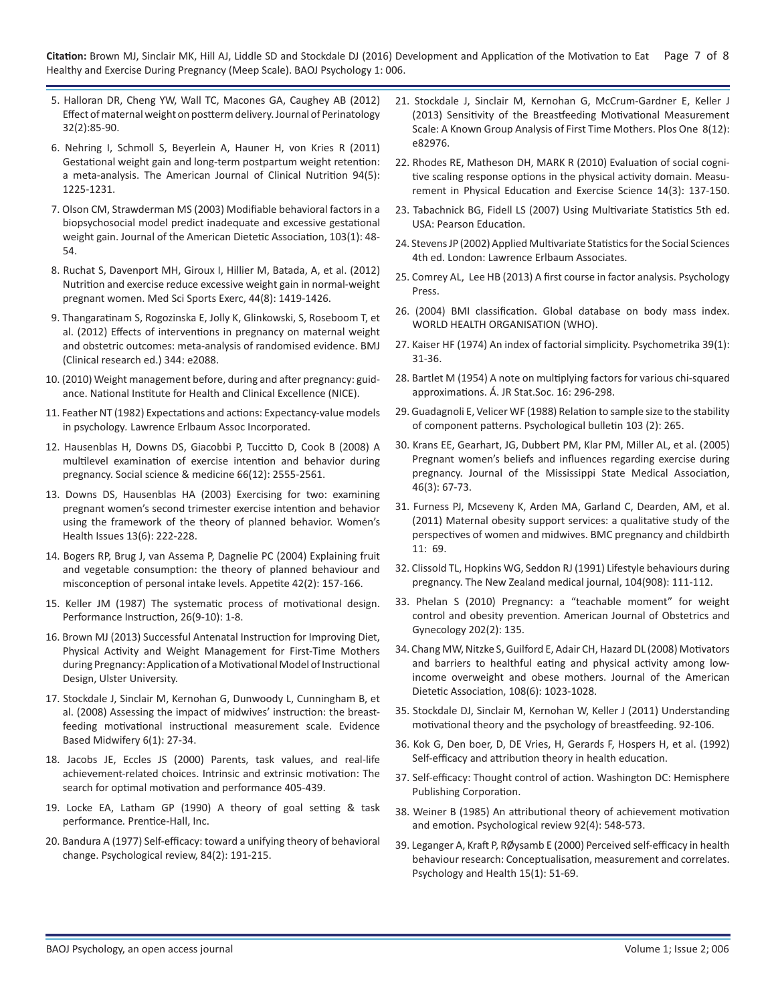**Citation:** Brown MJ, Sinclair MK, Hill AJ, Liddle SD and Stockdale DJ (2016) Development and Application of the Motivation to Eat Page 7 of 8 Healthy and Exercise During Pregnancy (Meep Scale). BAOJ Psychology 1: 006.

- 5. [Halloran DR, Cheng YW, Wall TC, Macones GA, Caughey AB \(2012\)](http://www.ncbi.nlm.nih.gov/pubmed/21681179) [Effect of maternal weight on postterm delivery. Journal of Perinatology](http://www.ncbi.nlm.nih.gov/pubmed/21681179) [32\(2\):85-90.](http://www.ncbi.nlm.nih.gov/pubmed/21681179)
- 6. [Nehring I, Schmoll S, Beyerlein A, Hauner H, von Kries R \(2011\)](http://www.ncbi.nlm.nih.gov/pubmed/21918221)  [Gestational weight gain and long-term postpartum weight retention:](http://www.ncbi.nlm.nih.gov/pubmed/21918221)  [a meta-analysis. The American Journal of Clinical Nutrition 94\(5\):](http://www.ncbi.nlm.nih.gov/pubmed/21918221)  [1225-1231.](http://www.ncbi.nlm.nih.gov/pubmed/21918221)
- 7. [Olson CM, Strawderman MS \(2003\) Modifiable behavioral factors in a](http://www.ncbi.nlm.nih.gov/pubmed/12525793)  [biopsychosocial model predict inadequate and excessive gestational](http://www.ncbi.nlm.nih.gov/pubmed/12525793)  [weight gain. Journal of the American Dietetic Association, 103\(1\): 48-](http://www.ncbi.nlm.nih.gov/pubmed/12525793) [54.](http://www.ncbi.nlm.nih.gov/pubmed/12525793)
- 8. [Ruchat S, Davenport MH, Giroux I, Hillier M, Batada, A, et al. \(2012\)](http://www.ncbi.nlm.nih.gov/pubmed/22453250) [Nutrition and exercise reduce excessive weight gain in normal-weight](http://www.ncbi.nlm.nih.gov/pubmed/22453250)  [pregnant women. Med Sci Sports Exerc, 44\(8\): 1419-1426](http://www.ncbi.nlm.nih.gov/pubmed/22453250).
- 9. [Thangaratinam S, Rogozinska E, Jolly K, Glinkowski, S, Roseboom T, et](http://www.ncbi.nlm.nih.gov/pubmed/22596383)  [al. \(2012\) Effects of interventions in pregnancy on maternal weight](http://www.ncbi.nlm.nih.gov/pubmed/22596383)  [and obstetric outcomes: meta-analysis of randomised evidence. BMJ](http://www.ncbi.nlm.nih.gov/pubmed/22596383)  [\(Clinical research ed.\) 344: e2088.](http://www.ncbi.nlm.nih.gov/pubmed/22596383)
- 10. [\(2010\) Weight management before, during and after pregnancy: guid](https://www.nice.org.uk/guidance/ph27)[ance. National Institute for Health and Clinical Excellence \(NICE\)](https://www.nice.org.uk/guidance/ph27).
- 11. [Feather NT \(1982\) Expectations and actions: Expectancy-value models](http://onlinelibrary.wiley.com/doi/10.1080/00049538408255085/full)  in psychology*.* [Lawrence Erlbaum Assoc Incorporated](http://onlinelibrary.wiley.com/doi/10.1080/00049538408255085/full).
- 12. [Hausenblas H, Downs DS, Giacobbi P, Tuccitto D, Cook B \(2008\) A](http://www.ncbi.nlm.nih.gov/pubmed/18372085)  [multilevel examination of exercise intention and behavior during](http://www.ncbi.nlm.nih.gov/pubmed/18372085) [pregnancy. Social science & medicine 66\(12\): 2555-2561](http://www.ncbi.nlm.nih.gov/pubmed/18372085).
- 13. [Downs DS, Hausenblas HA \(2003\) Exercising for two: examining](http://www.ncbi.nlm.nih.gov/pubmed/14675791)  [pregnant women's second trimester exercise intention and behavior](http://www.ncbi.nlm.nih.gov/pubmed/14675791)  [using the framework of the theory of planned behavior. Women's](http://www.ncbi.nlm.nih.gov/pubmed/14675791) [Health Issues 13\(6\): 222-228](http://www.ncbi.nlm.nih.gov/pubmed/14675791).
- 14. [Bogers RP, Brug J, van Assema P, Dagnelie PC \(2004\) Explaining fruit](http://www.ncbi.nlm.nih.gov/pubmed/15010180)  [and vegetable consumption: the theory of planned behaviour and](http://www.ncbi.nlm.nih.gov/pubmed/15010180) [misconception of personal intake levels. Appetite 42\(2\): 157-166](http://www.ncbi.nlm.nih.gov/pubmed/15010180).
- 15. [Keller JM \(1987\) The systematic process of motivational design.](http://eric.ed.gov/?id=EJ363840)  [Performance Instruction, 26\(9‐10\): 1-8](http://eric.ed.gov/?id=EJ363840).
- 16. Brown MJ (2013) Successful Antenatal Instruction for Improving Diet, Physical Activity and Weight Management for First-Time Mothers during Pregnancy: Application of a Motivational Model of Instructional Design, Ulster University.
- 17. [Stockdale J, Sinclair M, Kernohan G, Dunwoody L, Cunningham B, et](http://uir.ulster.ac.uk/3975/)  [al. \(2008\) Assessing the impact of midwives' instruction: the breast](http://uir.ulster.ac.uk/3975/)[feeding motivational instructional measurement scale. Evidence](http://uir.ulster.ac.uk/3975/)  [Based Midwifery 6\(1\): 27-34.](http://uir.ulster.ac.uk/3975/)
- 18. [Jacobs JE, Eccles JS \(2000\) Parents, task values, and real-life](https://www.researchgate.net/publication/233896058_Parents_Task_Values_and_Real-Life_Achievement-Related_Choices)  [achievement-related choices. Intrinsic and extrinsic motivation: The](https://www.researchgate.net/publication/233896058_Parents_Task_Values_and_Real-Life_Achievement-Related_Choices)  [search for optimal motivation and performance 405-439](https://www.researchgate.net/publication/233896058_Parents_Task_Values_and_Real-Life_Achievement-Related_Choices).
- 19. [Locke EA, Latham GP \(1990\) A theory of goal setting & task](https://books.google.co.in/books/about/A_Theory_of_Goal_Setting_Task_Performanc.html?id=MHR9AAAAMAAJ&redir_esc=y)  performance*.* [Prentice-Hall, Inc](https://books.google.co.in/books/about/A_Theory_of_Goal_Setting_Task_Performanc.html?id=MHR9AAAAMAAJ&redir_esc=y).
- 20. [Bandura A \(1977\) Self-efficacy: toward a unifying theory of behavioral](http://www.ncbi.nlm.nih.gov/pubmed/847061)  [change. Psychological review, 84\(2\): 191-215](http://www.ncbi.nlm.nih.gov/pubmed/847061).
- 21. [Stockdale J, Sinclair M, Kernohan G, McCrum-Gardner E, Keller J](http://www.ncbi.nlm.nih.gov/pmc/articles/PMC3876990/)  [\(2013\) Sensitivity of the Breastfeeding Motivational Measurement](http://www.ncbi.nlm.nih.gov/pmc/articles/PMC3876990/)  [Scale: A Known Group Analysis of First Time Mothers. Plos One 8\(12\):](http://www.ncbi.nlm.nih.gov/pmc/articles/PMC3876990/)  [e82976.](http://www.ncbi.nlm.nih.gov/pmc/articles/PMC3876990/)
- 22. [Rhodes RE, Matheson DH, MARK R \(2010\) Evaluation of social cogni](http://www.tandfonline.com/doi/abs/10.1080/1091367X.2010.495539?journalCode=hmpe20)[tive scaling response options in the physical activity domain. Measu](http://www.tandfonline.com/doi/abs/10.1080/1091367X.2010.495539?journalCode=hmpe20)[rement in Physical Education and Exercise Science 14\(3\): 137-150](http://www.tandfonline.com/doi/abs/10.1080/1091367X.2010.495539?journalCode=hmpe20).
- 23. [Tabachnick BG, Fidell LS \(2007\) Using Multivariate Statistics 5th ed.](http://dl.acm.org/citation.cfm?id=1213888)  [USA: Pearson Education](http://dl.acm.org/citation.cfm?id=1213888).
- 24. [Stevens JP \(2002\) Applied Multivariate Statistics for the Social Sciences](http://www.worldcat.org/title/applied-multivariate-statistics-for-the-social-sciences/oclc/318264069?referer=di&ht=edition)  [4th ed. London: Lawrence Erlbaum Associate](http://www.worldcat.org/title/applied-multivariate-statistics-for-the-social-sciences/oclc/318264069?referer=di&ht=edition)s.
- 25. [Comrey AL, Lee HB \(2013\) A first course in factor analysis. Psychology](https://www.amazon.com/First-Course-Factor-Analysis-2nd/dp/0805810625)  [Press.](https://www.amazon.com/First-Course-Factor-Analysis-2nd/dp/0805810625)
- 26. (2004) BMI classification. [Global database on body mass index.](http://apps.who.int/bmi/index.jsp)  [WORLD HEALTH ORGANISATION \(WHO\)](http://apps.who.int/bmi/index.jsp).
- 27. [Kaiser HF \(1974\) An index of factorial simplicity. Psychometrika](http://link.springer.com/article/10.1007/BF02291575) 39(1): [31-36.](http://link.springer.com/article/10.1007/BF02291575)
- 28. [Bartlet M \(1954\) A note on multiplying factors for various chi-squared](http://www.oalib.com/references/15391234) [approximations. Á. JR Stat.Soc. 16: 296-298](http://www.oalib.com/references/15391234).
- 29. [Guadagnoli E, Velicer WF \(1988\) Relation to sample size to the stability](http://www.ncbi.nlm.nih.gov/pubmed/3363047)  [of component patterns. Psychological bulletin](http://www.ncbi.nlm.nih.gov/pubmed/3363047) 103 (2): 265.
- 30. [Krans EE, Gearhart, JG, Dubbert PM, Klar PM, Miller AL, et al. \(2005\)](http://www.ncbi.nlm.nih.gov/pubmed/15822648)  [Pregnant women's beliefs and influences regarding exercise during](http://www.ncbi.nlm.nih.gov/pubmed/15822648)  [pregnancy. Journal of the Mississippi State Medical Association,](http://www.ncbi.nlm.nih.gov/pubmed/15822648)  [46\(3\): 67-73.](http://www.ncbi.nlm.nih.gov/pubmed/15822648)
- 31. [Furness PJ, Mcseveny K, Arden MA, Garland C, Dearden, AM, et al.](http://www.ncbi.nlm.nih.gov/pubmed/21982306)  [\(2011\) Maternal obesity support services: a qualitative study of the](http://www.ncbi.nlm.nih.gov/pubmed/21982306)  [perspectives of women and midwives. BMC pregnancy and childbirth](http://www.ncbi.nlm.nih.gov/pubmed/21982306)  [11: 69.](http://www.ncbi.nlm.nih.gov/pubmed/21982306)
- 32. [Clissold TL, Hopkins WG, Seddon RJ \(1991\) Lifestyle behaviours during](http://www.ncbi.nlm.nih.gov/pubmed/2011290)  [pregnancy. The New Zealand medical journal, 104\(908\): 111-112](http://www.ncbi.nlm.nih.gov/pubmed/2011290).
- 33. [Phelan S \(2010\) Pregnancy: a "teachable moment" for weight](http://www.ncbi.nlm.nih.gov/pubmed/19683692)  [control and obesity prevention. American Journal of Obstetrics and](http://www.ncbi.nlm.nih.gov/pubmed/19683692)  [Gynecology 202\(2\): 135](http://www.ncbi.nlm.nih.gov/pubmed/19683692).
- 34. [Chang MW, Nitzke S, Guilford E, Adair CH, Hazard DL \(2008\) Motivators](http://www.ncbi.nlm.nih.gov/pubmed/18502238)  [and barriers to healthful eating and physical activity among low](http://www.ncbi.nlm.nih.gov/pubmed/18502238)[income overweight and obese mothers. Journal of the American](http://www.ncbi.nlm.nih.gov/pubmed/18502238) [Dietetic Association, 108\(6\): 1023-1028](http://www.ncbi.nlm.nih.gov/pubmed/18502238).
- 35. [Stockdale DJ, Sinclair M, Kernohan W, Keller J \(2011\) Understanding](http://uir.ulster.ac.uk/31499/)  [motivational theory and the psychology of breastfeeding. 92-106](http://uir.ulster.ac.uk/31499/).
- 36. Kok G, Den boer, D, DE Vries, H, Gerards F, Hospers H, et al. (1992) Self-efficacy and attribution theory in health education.
- 37. Self-efficacy: Thought control of action. Washington DC: Hemisphere Publishing Corporation.
- 38. [Weiner B \(1985\) An attributional theory of achievement motivation](https://www.researchgate.net/publication/19257755_An_Attributional_Theory_of_Achievement_Motivation_and_Emotion)  [and emotion. Psychological review 92\(4\): 548-573](https://www.researchgate.net/publication/19257755_An_Attributional_Theory_of_Achievement_Motivation_and_Emotion).
- 39. Leganger A, Kraft P, RØ[ysamb E \(2000\) Perceived self-efficacy in health](https://www.researchgate.net/publication/240242820_Perceived_self-efficacy_in_health_behaviour_research_Conceptualisation_measurement_and_correlates)  [behaviour research: Conceptualisation, measurement and correlates.](https://www.researchgate.net/publication/240242820_Perceived_self-efficacy_in_health_behaviour_research_Conceptualisation_measurement_and_correlates)  [Psychology and Health 15\(1\): 51-69](https://www.researchgate.net/publication/240242820_Perceived_self-efficacy_in_health_behaviour_research_Conceptualisation_measurement_and_correlates).